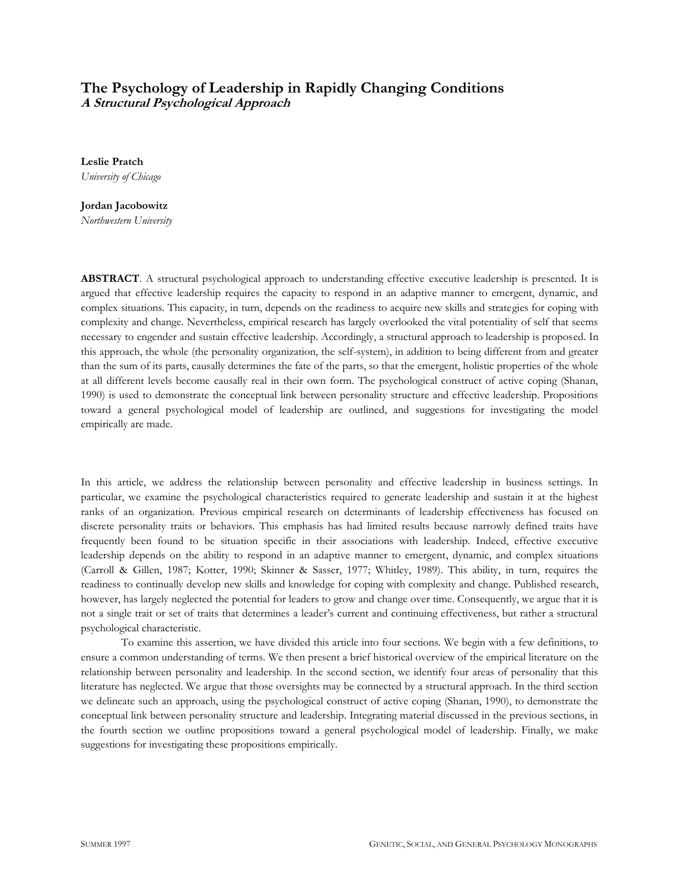# **The Psychology of Leadership in Rapidly Changing Conditions A Structural Psychological Approach**

**Leslie Pratch** *University of Chicago*

**Jordan Jacobowitz** *Northwestern University*

**ABSTRACT**. A structural psychological approach to understanding effective executive leadership is presented. It is argued that effective leadership requires the capacity to respond in an adaptive manner to emergent, dynamic, and complex situations. This capacity, in turn, depends on the readiness to acquire new skills and strategies for coping with complexity and change. Nevertheless, empirical research has largely overlooked the vital potentiality of self that seems necessary to engender and sustain effective leadership. Accordingly, a structural approach to leadership is proposed. In this approach, the whole (the personality organization, the self-system), in addition to being different from and greater than the sum of its parts, causally determines the fate of the parts, so that the emergent, holistic properties of the whole at all different levels become causally real in their own form. The psychological construct of active coping (Shanan, 1990) is used to demonstrate the conceptual link between personality structure and effective leadership. Propositions toward a general psychological model of leadership are outlined, and suggestions for investigating the model empirically are made.

In this article, we address the relationship between personality and effective leadership in business settings. In particular, we examine the psychological characteristics required to generate leadership and sustain it at the highest ranks of an organization. Previous empirical research on determinants of leadership effectiveness has focused on discrete personality traits or behaviors. This emphasis has had limited results because narrowly defined traits have frequently been found to be situation specific in their associations with leadership. Indeed, effective executive leadership depends on the ability to respond in an adaptive manner to emergent, dynamic, and complex situations (Carroll & Gillen, 1987; Kotter, 1990; Skinner & Sasser, 1977; Whitley, 1989). This ability, in turn, requires the readiness to continually develop new skills and knowledge for coping with complexity and change. Published research, however, has largely neglected the potential for leaders to grow and change over time. Consequently, we argue that it is not a single trait or set of traits that determines a leader's current and continuing effectiveness, but rather a structural psychological characteristic.

To examine this assertion, we have divided this article into four sections. We begin with a few definitions, to ensure a common understanding of terms. We then present a brief historical overview of the empirical literature on the relationship between personality and leadership. In the second section, we identify four areas of personality that this literature has neglected. We argue that those oversights may be connected by a structural approach. In the third section we delineate such an approach, using the psychological construct of active coping (Shanan, 1990), to demonstrate the conceptual link between personality structure and leadership. Integrating material discussed in the previous sections, in the fourth section we outline propositions toward a general psychological model of leadership. Finally, we make suggestions for investigating these propositions empirically.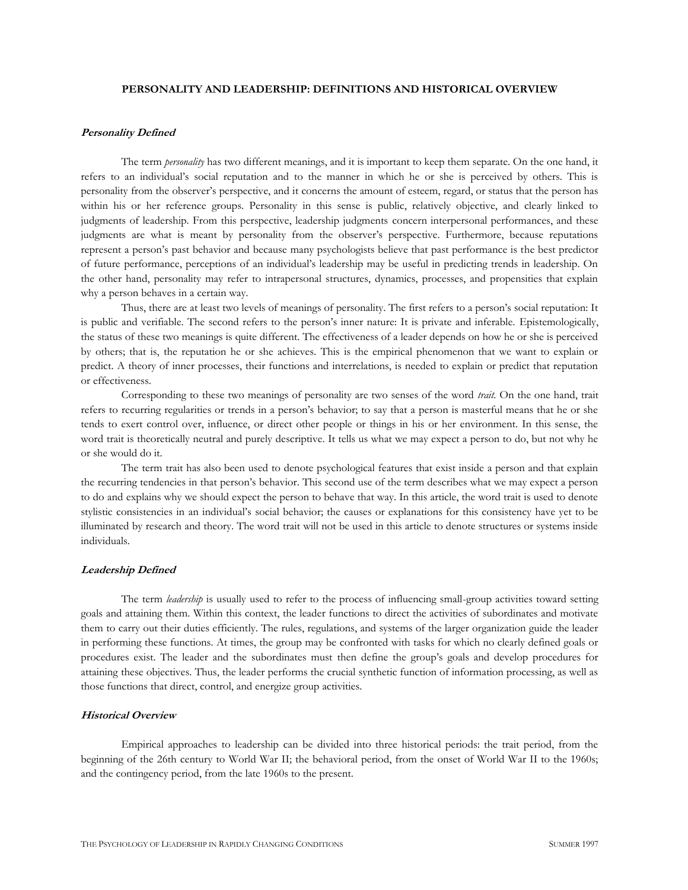# **PERSONALITY AND LEADERSHIP: DEFINITIONS AND HISTORICAL OVERVIEW**

#### **Personality Defined**

The term *personality* has two different meanings, and it is important to keep them separate. On the one hand, it refers to an individual's social reputation and to the manner in which he or she is perceived by others. This is personality from the observer's perspective, and it concerns the amount of esteem, regard, or status that the person has within his or her reference groups. Personality in this sense is public, relatively objective, and clearly linked to judgments of leadership. From this perspective, leadership judgments concern interpersonal performances, and these judgments are what is meant by personality from the observer's perspective. Furthermore, because reputations represent a person's past behavior and because many psychologists believe that past performance is the best predictor of future performance, perceptions of an individual's leadership may be useful in predicting trends in leadership. On the other hand, personality may refer to intrapersonal structures, dynamics, processes, and propensities that explain why a person behaves in a certain way.

Thus, there are at least two levels of meanings of personality. The first refers to a person's social reputation: It is public and verifiable. The second refers to the person's inner nature: It is private and inferable. Epistemologically, the status of these two meanings is quite different. The effectiveness of a leader depends on how he or she is perceived by others; that is, the reputation he or she achieves. This is the empirical phenomenon that we want to explain or predict. A theory of inner processes, their functions and interrelations, is needed to explain or predict that reputation or effectiveness.

Corresponding to these two meanings of personality are two senses of the word *trait.* On the one hand, trait refers to recurring regularities or trends in a person's behavior; to say that a person is masterful means that he or she tends to exert control over, influence, or direct other people or things in his or her environment. In this sense, the word trait is theoretically neutral and purely descriptive. It tells us what we may expect a person to do, but not why he or she would do it.

The term trait has also been used to denote psychological features that exist inside a person and that explain the recurring tendencies in that person's behavior. This second use of the term describes what we may expect a person to do and explains why we should expect the person to behave that way. In this article, the word trait is used to denote stylistic consistencies in an individual's social behavior; the causes or explanations for this consistency have yet to be illuminated by research and theory. The word trait will not be used in this article to denote structures or systems inside individuals.

# **Leadership Defined**

The term *leadership* is usually used to refer to the process of influencing small-group activities toward setting goals and attaining them. Within this context, the leader functions to direct the activities of subordinates and motivate them to carry out their duties efficiently. The rules, regulations, and systems of the larger organization guide the leader in performing these functions. At times, the group may be confronted with tasks for which no clearly defined goals or procedures exist. The leader and the subordinates must then define the group's goals and develop procedures for attaining these objectives. Thus, the leader performs the crucial synthetic function of information processing, as well as those functions that direct, control, and energize group activities.

# **Historical Overview**

Empirical approaches to leadership can be divided into three historical periods: the trait period, from the beginning of the 26th century to World War II; the behavioral period, from the onset of World War II to the 1960s; and the contingency period, from the late 1960s to the present.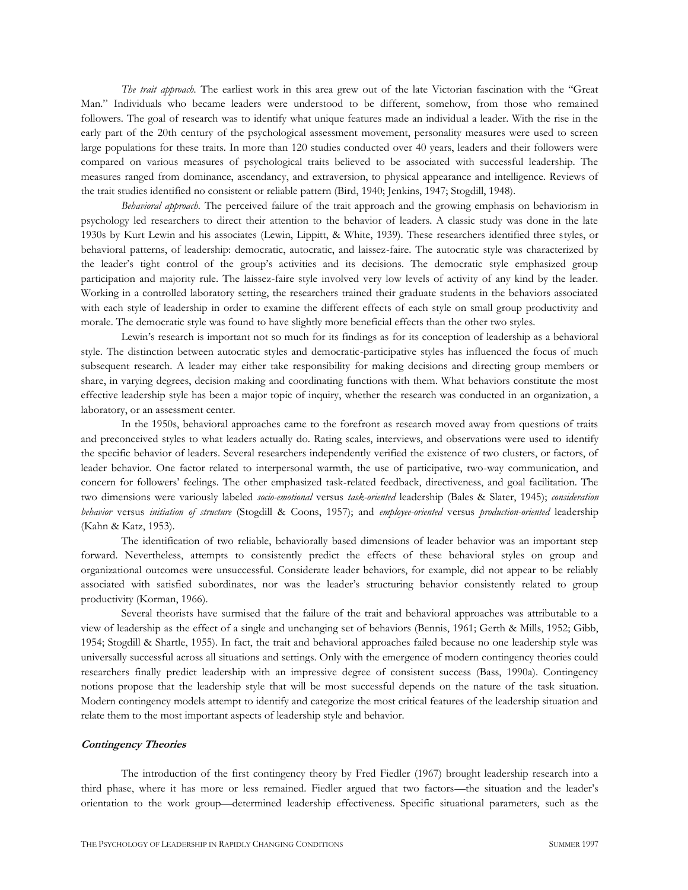*The trait approach.* The earliest work in this area grew out of the late Victorian fascination with the "Great Man." Individuals who became leaders were understood to be different, somehow, from those who remained followers. The goal of research was to identify what unique features made an individual a leader. With the rise in the early part of the 20th century of the psychological assessment movement, personality measures were used to screen large populations for these traits. In more than 120 studies conducted over 40 years, leaders and their followers were compared on various measures of psychological traits believed to be associated with successful leadership. The measures ranged from dominance, ascendancy, and extraversion, to physical appearance and intelligence. Reviews of the trait studies identified no consistent or reliable pattern (Bird, 1940; Jenkins, 1947; Stogdill, 1948).

*Behavioral approach.* The perceived failure of the trait approach and the growing emphasis on behaviorism in psychology led researchers to direct their attention to the behavior of leaders. A classic study was done in the late 1930s by Kurt Lewin and his associates (Lewin, Lippitt, & White, 1939). These researchers identified three styles, or behavioral patterns, of leadership: democratic, autocratic, and laissez-faire. The autocratic style was characterized by the leader's tight control of the group's activities and its decisions. The democratic style emphasized group participation and majority rule. The laissez-faire style involved very low levels of activity of any kind by the leader. Working in a controlled laboratory setting, the researchers trained their graduate students in the behaviors associated with each style of leadership in order to examine the different effects of each style on small group productivity and morale. The democratic style was found to have slightly more beneficial effects than the other two styles.

Lewin's research is important not so much for its findings as for its conception of leadership as a behavioral style. The distinction between autocratic styles and democratic-participative styles has influenced the focus of much subsequent research. A leader may either take responsibility for making decisions and directing group members or share, in varying degrees, decision making and coordinating functions with them. What behaviors constitute the most effective leadership style has been a major topic of inquiry, whether the research was conducted in an organization, a laboratory, or an assessment center.

In the 1950s, behavioral approaches came to the forefront as research moved away from questions of traits and preconceived styles to what leaders actually do. Rating scales, interviews, and observations were used to identify the specific behavior of leaders. Several researchers independently verified the existence of two clusters, or factors, of leader behavior. One factor related to interpersonal warmth, the use of participative, two-way communication, and concern for followers' feelings. The other emphasized task-related feedback, directiveness, and goal facilitation. The two dimensions were variously labeled *socio-emotional* versus *task-oriented* leadership (Bales & Slater, 1945); *consideration behavior* versus *initiation of structure* (Stogdill & Coons, 1957); and *employee-oriented* versus *production-oriented* leadership (Kahn & Katz, 1953).

The identification of two reliable, behaviorally based dimensions of leader behavior was an important step forward. Nevertheless, attempts to consistently predict the effects of these behavioral styles on group and organizational outcomes were unsuccessful. Considerate leader behaviors, for example, did not appear to be reliably associated with satisfied subordinates, nor was the leader's structuring behavior consistently related to group productivity (Korman, 1966).

Several theorists have surmised that the failure of the trait and behavioral approaches was attributable to a view of leadership as the effect of a single and unchanging set of behaviors (Bennis, 1961; Gerth & Mills, 1952; Gibb, 1954; Stogdill & Shartle, 1955). In fact, the trait and behavioral approaches failed because no one leadership style was universally successful across all situations and settings. Only with the emergence of modern contingency theories could researchers finally predict leadership with an impressive degree of consistent success (Bass, 1990a). Contingency notions propose that the leadership style that will be most successful depends on the nature of the task situation. Modern contingency models attempt to identify and categorize the most critical features of the leadership situation and relate them to the most important aspects of leadership style and behavior.

#### **Contingency Theories**

The introduction of the first contingency theory by Fred Fiedler (1967) brought leadership research into a third phase, where it has more or less remained. Fiedler argued that two factors—the situation and the leader's orientation to the work group—determined leadership effectiveness. Specific situational parameters, such as the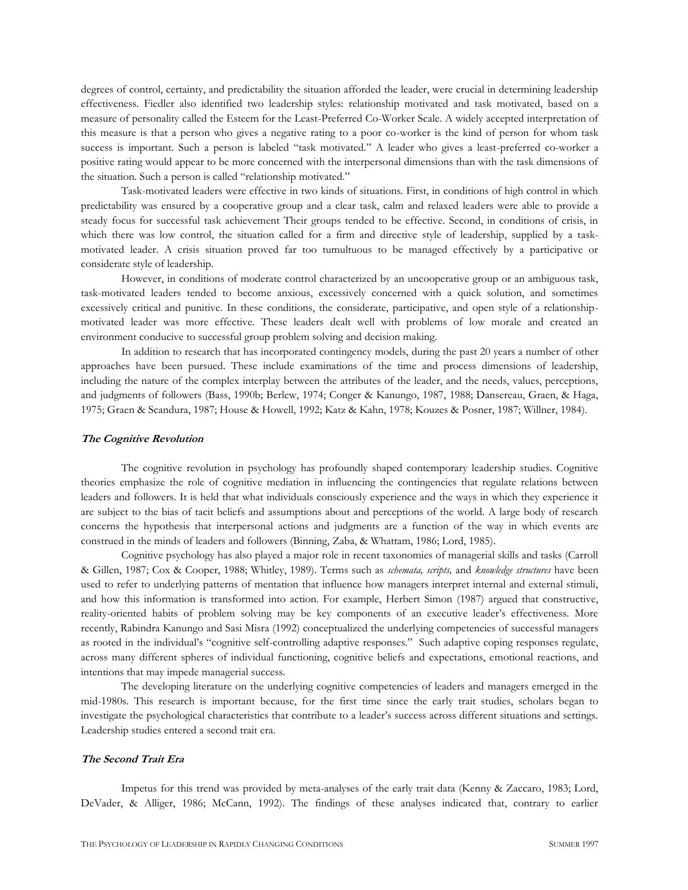degrees of control, certainty, and predictability the situation afforded the leader, were crucial in determining leadership effectiveness. Fiedler also identified two leadership styles: relationship motivated and task motivated, based on a measure of personality called the Esteem for the Least-Preferred Co-Worker Scale. A widely accepted interpretation of this measure is that a person who gives a negative rating to a poor co-worker is the kind of person for whom task success is important. Such a person is labeled "task motivated." A leader who gives a least-preferred co-worker a positive rating would appear to be more concerned with the interpersonal dimensions than with the task dimensions of the situation. Such a person is called "relationship motivated."

Task-motivated leaders were effective in two kinds of situations. First, in conditions of high control in which predictability was ensured by a cooperative group and a clear task, calm and relaxed leaders were able to provide a steady focus for successful task achievement Their groups tended to be effective. Second, in conditions of crisis, in which there was low control, the situation called for a firm and directive style of leadership, supplied by a taskmotivated leader. A crisis situation proved far too tumultuous to be managed effectively by a participative or considerate style of leadership.

However, in conditions of moderate control characterized by an uncooperative group or an ambiguous task, task-motivated leaders tended to become anxious, excessively concerned with a quick solution, and sometimes excessively critical and punitive. In these conditions, the considerate, participative, and open style of a relationshipmotivated leader was more effective. These leaders dealt well with problems of low morale and created an environment conducive to successful group problem solving and decision making.

In addition to research that has incorporated contingency models, during the past 20 years a number of other approaches have been pursued. These include examinations of the time and process dimensions of leadership, including the nature of the complex interplay between the attributes of the leader, and the needs, values, perceptions, and judgments of followers (Bass, 1990b; Berlew, 1974; Conger & Kanungo, 1987, 1988; Dansereau, Graen, & Haga, 1975; Graen & Scandura, 1987; House & Howell, 1992; Katz & Kahn, 1978; Kouzes & Posner, 1987; Willner, 1984).

# **The Cognitive Revolution**

The cognitive revolution in psychology has profoundly shaped contemporary leadership studies. Cognitive theories emphasize the role of cognitive mediation in influencing the contingencies that regulate relations between leaders and followers. It is held that what individuals consciously experience and the ways in which they experience it are subject to the bias of tacit beliefs and assumptions about and perceptions of the world. A large body of research concerns the hypothesis that interpersonal actions and judgments are a function of the way in which events are construed in the minds of leaders and followers (Binning, Zaba, & Whattam, 1986; Lord, 1985).

Cognitive psychology has also played a major role in recent taxonomies of managerial skills and tasks (Carroll & Gillen, 1987; Cox & Cooper, 1988; Whitley, 1989). Terms such as *schemata, scripts,* and *knowledge structures* have been used to refer to underlying patterns of mentation that influence how managers interpret internal and external stimuli, and how this information is transformed into action. For example, Herbert Simon (1987) argued that constructive, reality-oriented habits of problem solving may be key components of an executive leader's effectiveness. More recently, Rabindra Kanungo and Sasi Misra (1992) conceptualized the underlying competencies of successful managers as rooted in the individual's "cognitive self-controlling adaptive responses." Such adaptive coping responses regulate, across many different spheres of individual functioning, cognitive beliefs and expectations, emotional reactions, and intentions that may impede managerial success.

The developing literature on the underlying cognitive competencies of leaders and managers emerged in the mid-1980s. This research is important because, for the first time since the early trait studies, scholars began to investigate the psychological characteristics that contribute to a leader's success across different situations and settings. Leadership studies entered a second trait era.

# **The Second Trait Era**

Impetus for this trend was provided by meta-analyses of the early trait data (Kenny & Zaccaro, 1983; Lord, DeVader, & Alliger, 1986; McCann, 1992). The findings of these analyses indicated that, contrary to earlier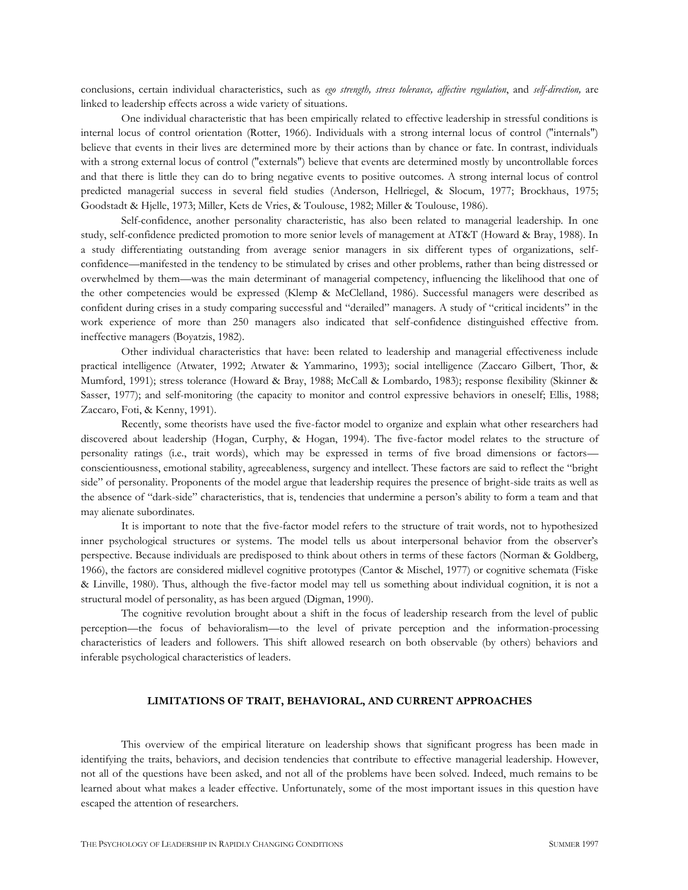conclusions, certain individual characteristics, such as *ego strength, stress tolerance, affective regulation*, and *self-direction,* are linked to leadership effects across a wide variety of situations.

One individual characteristic that has been empirically related to effective leadership in stressful conditions is internal locus of control orientation (Rotter, 1966). Individuals with a strong internal locus of control ("internals") believe that events in their lives are determined more by their actions than by chance or fate. In contrast, individuals with a strong external locus of control ("externals") believe that events are determined mostly by uncontrollable forces and that there is little they can do to bring negative events to positive outcomes. A strong internal locus of control predicted managerial success in several field studies (Anderson, Hellriegel, & Slocum, 1977; Brockhaus, 1975; Goodstadt & Hjelle, 1973; Miller, Kets de Vries, & Toulouse, 1982; Miller & Toulouse, 1986).

Self-confidence, another personality characteristic, has also been related to managerial leadership. In one study, self-confidence predicted promotion to more senior levels of management at AT&T (Howard & Bray, 1988). In a study differentiating outstanding from average senior managers in six different types of organizations, selfconfidence—manifested in the tendency to be stimulated by crises and other problems, rather than being distressed or overwhelmed by them—was the main determinant of managerial competency, influencing the likelihood that one of the other competencies would be expressed (Klemp & McClelland, 1986). Successful managers were described as confident during crises in a study comparing successful and "derailed" managers. A study of "critical incidents" in the work experience of more than 250 managers also indicated that self-confidence distinguished effective from. ineffective managers (Boyatzis, 1982).

Other individual characteristics that have: been related to leadership and managerial effectiveness include practical intelligence (Atwater, 1992; Atwater & Yammarino, 1993); social intelligence (Zaccaro Gilbert, Thor, & Mumford, 1991); stress tolerance (Howard & Bray, 1988; McCall & Lombardo, 1983); response flexibility (Skinner & Sasser, 1977); and self-monitoring (the capacity to monitor and control expressive behaviors in oneself; Ellis, 1988; Zaccaro, Foti, & Kenny, 1991).

Recently, some theorists have used the five-factor model to organize and explain what other researchers had discovered about leadership (Hogan, Curphy, & Hogan, 1994). The five-factor model relates to the structure of personality ratings (i.e., trait words), which may be expressed in terms of five broad dimensions or factors conscientiousness, emotional stability, agreeableness, surgency and intellect. These factors are said to reflect the "bright side" of personality. Proponents of the model argue that leadership requires the presence of bright-side traits as well as the absence of "dark-side" characteristics, that is, tendencies that undermine a person's ability to form a team and that may alienate subordinates.

It is important to note that the five-factor model refers to the structure of trait words, not to hypothesized inner psychological structures or systems. The model tells us about interpersonal behavior from the observer's perspective. Because individuals are predisposed to think about others in terms of these factors (Norman & Goldberg, 1966), the factors are considered midlevel cognitive prototypes (Cantor & Mischel, 1977) or cognitive schemata (Fiske & Linville, 1980). Thus, although the five-factor model may tell us something about individual cognition, it is not a structural model of personality, as has been argued (Digman, 1990).

The cognitive revolution brought about a shift in the focus of leadership research from the level of public perception—the focus of behavioralism—to the level of private perception and the information-processing characteristics of leaders and followers. This shift allowed research on both observable (by others) behaviors and inferable psychological characteristics of leaders.

#### **LIMITATIONS OF TRAIT, BEHAVIORAL, AND CURRENT APPROACHES**

This overview of the empirical literature on leadership shows that significant progress has been made in identifying the traits, behaviors, and decision tendencies that contribute to effective managerial leadership. However, not all of the questions have been asked, and not all of the problems have been solved. Indeed, much remains to be learned about what makes a leader effective. Unfortunately, some of the most important issues in this question have escaped the attention of researchers.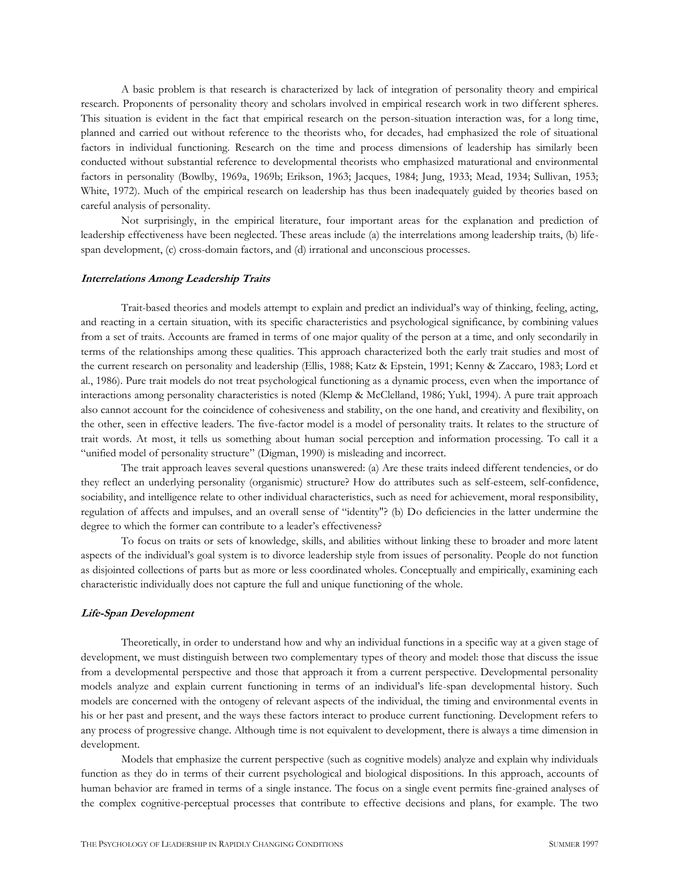A basic problem is that research is characterized by lack of integration of personality theory and empirical research. Proponents of personality theory and scholars involved in empirical research work in two different spheres. This situation is evident in the fact that empirical research on the person-situation interaction was, for a long time, planned and carried out without reference to the theorists who, for decades, had emphasized the role of situational factors in individual functioning. Research on the time and process dimensions of leadership has similarly been conducted without substantial reference to developmental theorists who emphasized maturational and environmental factors in personality (Bowlby, 1969a, 1969b; Erikson, 1963; Jacques, 1984; Jung, 1933; Mead, 1934; Sullivan, 1953; White, 1972). Much of the empirical research on leadership has thus been inadequately guided by theories based on careful analysis of personality.

Not surprisingly, in the empirical literature, four important areas for the explanation and prediction of leadership effectiveness have been neglected. These areas include (a) the interrelations among leadership traits, (b) lifespan development, (c) cross-domain factors, and (d) irrational and unconscious processes.

# **Interrelations Among Leadership Traits**

Trait-based theories and models attempt to explain and predict an individual's way of thinking, feeling, acting, and reacting in a certain situation, with its specific characteristics and psychological significance, by combining values from a set of traits. Accounts are framed in terms of one major quality of the person at a time, and only secondarily in terms of the relationships among these qualities. This approach characterized both the early trait studies and most of the current research on personality and leadership (Ellis, 1988; Katz & Epstein, 1991; Kenny & Zaccaro, 1983; Lord et al., 1986). Pure trait models do not treat psychological functioning as a dynamic process, even when the importance of interactions among personality characteristics is noted (Klemp & McClelland, 1986; Yukl, 1994). A pure trait approach also cannot account for the coincidence of cohesiveness and stability, on the one hand, and creativity and flexibility, on the other, seen in effective leaders. The five-factor model is a model of personality traits. It relates to the structure of trait words. At most, it tells us something about human social perception and information processing. To call it a "unified model of personality structure" (Digman, 1990) is misleading and incorrect.

The trait approach leaves several questions unanswered: (a) Are these traits indeed different tendencies, or do they reflect an underlying personality (organismic) structure? How do attributes such as self-esteem, self-confidence, sociability, and intelligence relate to other individual characteristics, such as need for achievement, moral responsibility, regulation of affects and impulses, and an overall sense of "identity"? (b) Do deficiencies in the latter undermine the degree to which the former can contribute to a leader's effectiveness?

To focus on traits or sets of knowledge, skills, and abilities without linking these to broader and more latent aspects of the individual's goal system is to divorce leadership style from issues of personality. People do not function as disjointed collections of parts but as more or less coordinated wholes. Conceptually and empirically, examining each characteristic individually does not capture the full and unique functioning of the whole.

#### **Life-Span Development**

Theoretically, in order to understand how and why an individual functions in a specific way at a given stage of development, we must distinguish between two complementary types of theory and model: those that discuss the issue from a developmental perspective and those that approach it from a current perspective. Developmental personality models analyze and explain current functioning in terms of an individual's life-span developmental history. Such models are concerned with the ontogeny of relevant aspects of the individual, the timing and environmental events in his or her past and present, and the ways these factors interact to produce current functioning. Development refers to any process of progressive change. Although time is not equivalent to development, there is always a time dimension in development.

Models that emphasize the current perspective (such as cognitive models) analyze and explain why individuals function as they do in terms of their current psychological and biological dispositions. In this approach, accounts of human behavior are framed in terms of a single instance. The focus on a single event permits fine-grained analyses of the complex cognitive-perceptual processes that contribute to effective decisions and plans, for example. The two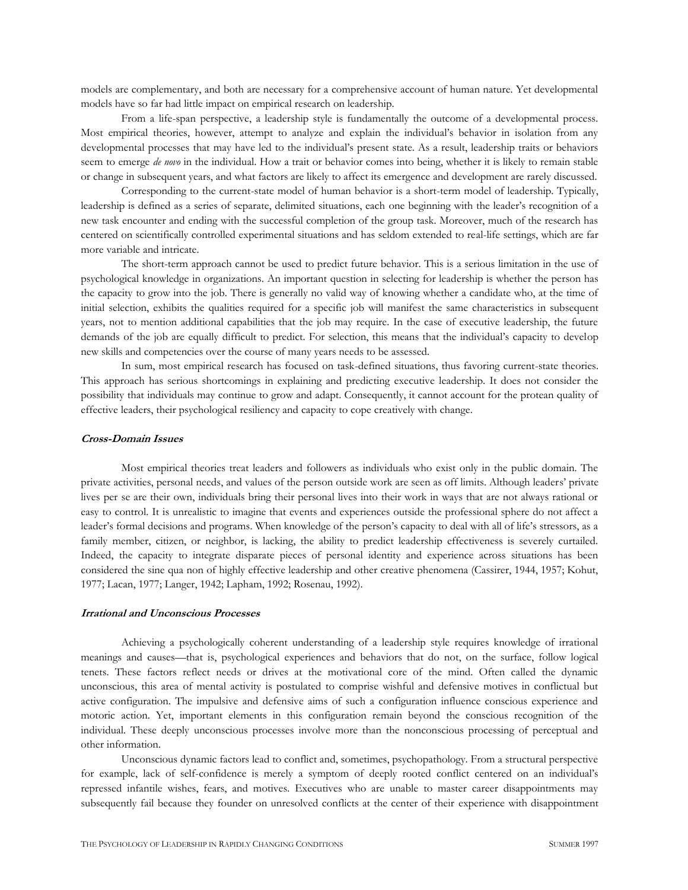models are complementary, and both are necessary for a comprehensive account of human nature. Yet developmental models have so far had little impact on empirical research on leadership.

From a life-span perspective, a leadership style is fundamentally the outcome of a developmental process. Most empirical theories, however, attempt to analyze and explain the individual's behavior in isolation from any developmental processes that may have led to the individual's present state. As a result, leadership traits or behaviors seem to emerge *de novo* in the individual. How a trait or behavior comes into being, whether it is likely to remain stable or change in subsequent years, and what factors are likely to affect its emergence and development are rarely discussed.

Corresponding to the current-state model of human behavior is a short-term model of leadership. Typically, leadership is defined as a series of separate, delimited situations, each one beginning with the leader's recognition of a new task encounter and ending with the successful completion of the group task. Moreover, much of the research has centered on scientifically controlled experimental situations and has seldom extended to real-life settings, which are far more variable and intricate.

The short-term approach cannot be used to predict future behavior. This is a serious limitation in the use of psychological knowledge in organizations. An important question in selecting for leadership is whether the person has the capacity to grow into the job. There is generally no valid way of knowing whether a candidate who, at the time of initial selection, exhibits the qualities required for a specific job will manifest the same characteristics in subsequent years, not to mention additional capabilities that the job may require. In the case of executive leadership, the future demands of the job are equally difficult to predict. For selection, this means that the individual's capacity to develop new skills and competencies over the course of many years needs to be assessed.

In sum, most empirical research has focused on task-defined situations, thus favoring current-state theories. This approach has serious shortcomings in explaining and predicting executive leadership. It does not consider the possibility that individuals may continue to grow and adapt. Consequently, it cannot account for the protean quality of effective leaders, their psychological resiliency and capacity to cope creatively with change.

#### **Cross-Domain Issues**

Most empirical theories treat leaders and followers as individuals who exist only in the public domain. The private activities, personal needs, and values of the person outside work are seen as off limits. Although leaders' private lives per se are their own, individuals bring their personal lives into their work in ways that are not always rational or easy to control. It is unrealistic to imagine that events and experiences outside the professional sphere do not affect a leader's formal decisions and programs. When knowledge of the person's capacity to deal with all of life's stressors, as a family member, citizen, or neighbor, is lacking, the ability to predict leadership effectiveness is severely curtailed. Indeed, the capacity to integrate disparate pieces of personal identity and experience across situations has been considered the sine qua non of highly effective leadership and other creative phenomena (Cassirer, 1944, 1957; Kohut, 1977; Lacan, 1977; Langer, 1942; Lapham, 1992; Rosenau, 1992).

#### **Irrational and Unconscious Processes**

Achieving a psychologically coherent understanding of a leadership style requires knowledge of irrational meanings and causes—that is, psychological experiences and behaviors that do not, on the surface, follow logical tenets. These factors reflect needs or drives at the motivational core of the mind. Often called the dynamic unconscious, this area of mental activity is postulated to comprise wishful and defensive motives in conflictual but active configuration. The impulsive and defensive aims of such a configuration influence conscious experience and motoric action. Yet, important elements in this configuration remain beyond the conscious recognition of the individual. These deeply unconscious processes involve more than the nonconscious processing of perceptual and other information.

Unconscious dynamic factors lead to conflict and, sometimes, psychopathology. From a structural perspective for example, lack of self-confidence is merely a symptom of deeply rooted conflict centered on an individual's repressed infantile wishes, fears, and motives. Executives who are unable to master career disappointments may subsequently fail because they founder on unresolved conflicts at the center of their experience with disappointment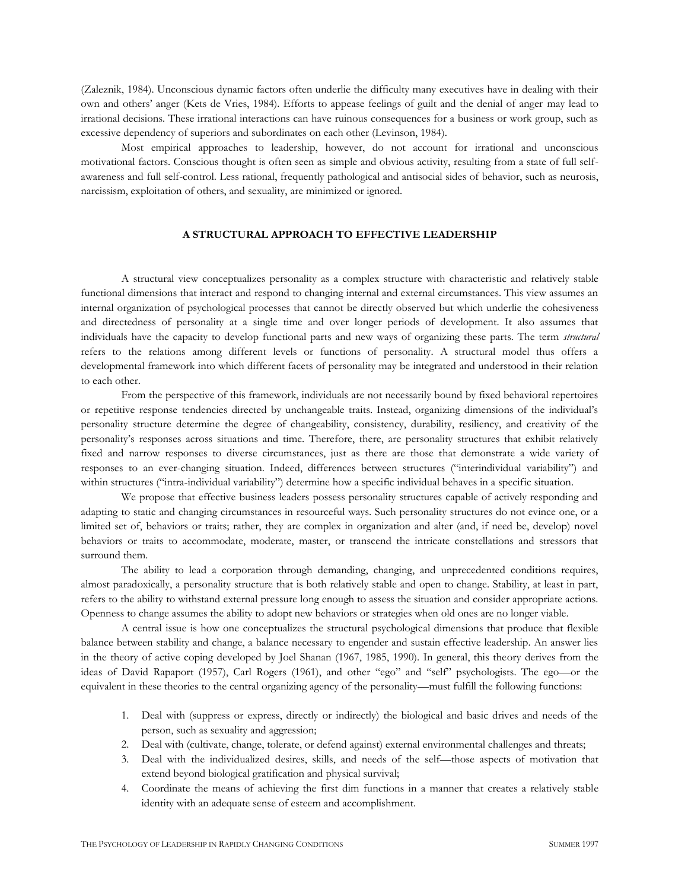(Zaleznik, 1984). Unconscious dynamic factors often underlie the difficulty many executives have in dealing with their own and others' anger (Kets de Vries, 1984). Efforts to appease feelings of guilt and the denial of anger may lead to irrational decisions. These irrational interactions can have ruinous consequences for a business or work group, such as excessive dependency of superiors and subordinates on each other (Levinson, 1984).

Most empirical approaches to leadership, however, do not account for irrational and unconscious motivational factors. Conscious thought is often seen as simple and obvious activity, resulting from a state of full selfawareness and full self-control. Less rational, frequently pathological and antisocial sides of behavior, such as neurosis, narcissism, exploitation of others, and sexuality, are minimized or ignored.

# **A STRUCTURAL APPROACH TO EFFECTIVE LEADERSHIP**

A structural view conceptualizes personality as a complex structure with characteristic and relatively stable functional dimensions that interact and respond to changing internal and external circumstances. This view assumes an internal organization of psychological processes that cannot be directly observed but which underlie the cohesiveness and directedness of personality at a single time and over longer periods of development. It also assumes that individuals have the capacity to develop functional parts and new ways of organizing these parts. The term *structural*  refers to the relations among different levels or functions of personality. A structural model thus offers a developmental framework into which different facets of personality may be integrated and understood in their relation to each other.

From the perspective of this framework, individuals are not necessarily bound by fixed behavioral repertoires or repetitive response tendencies directed by unchangeable traits. Instead, organizing dimensions of the individual's personality structure determine the degree of changeability, consistency, durability, resiliency, and creativity of the personality's responses across situations and time. Therefore, there, are personality structures that exhibit relatively fixed and narrow responses to diverse circumstances, just as there are those that demonstrate a wide variety of responses to an ever-changing situation. Indeed, differences between structures ("interindividual variability") and within structures ("intra-individual variability") determine how a specific individual behaves in a specific situation.

We propose that effective business leaders possess personality structures capable of actively responding and adapting to static and changing circumstances in resourceful ways. Such personality structures do not evince one, or a limited set of, behaviors or traits; rather, they are complex in organization and alter (and, if need be, develop) novel behaviors or traits to accommodate, moderate, master, or transcend the intricate constellations and stressors that surround them.

The ability to lead a corporation through demanding, changing, and unprecedented conditions requires, almost paradoxically, a personality structure that is both relatively stable and open to change. Stability, at least in part, refers to the ability to withstand external pressure long enough to assess the situation and consider appropriate actions. Openness to change assumes the ability to adopt new behaviors or strategies when old ones are no longer viable.

A central issue is how one conceptualizes the structural psychological dimensions that produce that flexible balance between stability and change, a balance necessary to engender and sustain effective leadership. An answer lies in the theory of active coping developed by Joel Shanan (1967, 1985, 1990). In general, this theory derives from the ideas of David Rapaport (1957), Carl Rogers (1961), and other "ego" and "self" psychologists. The ego—or the equivalent in these theories to the central organizing agency of the personality—must fulfill the following functions:

- 1. Deal with (suppress or express, directly or indirectly) the biological and basic drives and needs of the person, such as sexuality and aggression;
- 2. Deal with (cultivate, change, tolerate, or defend against) external environmental challenges and threats;
- 3. Deal with the individualized desires, skills, and needs of the self—those aspects of motivation that extend beyond biological gratification and physical survival;
- 4. Coordinate the means of achieving the first dim functions in a manner that creates a relatively stable identity with an adequate sense of esteem and accomplishment.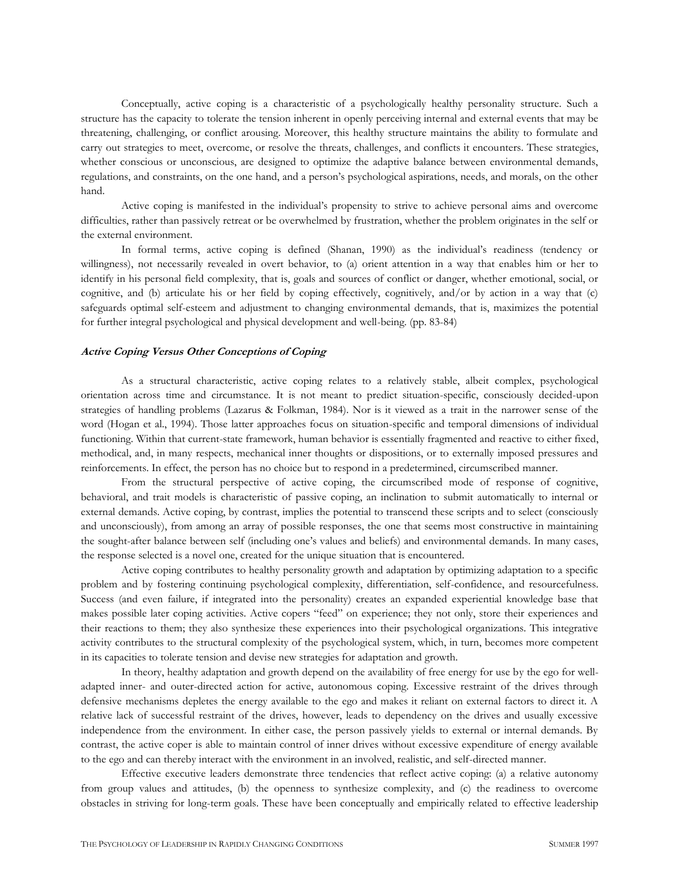Conceptually, active coping is a characteristic of a psychologically healthy personality structure. Such a structure has the capacity to tolerate the tension inherent in openly perceiving internal and external events that may be threatening, challenging, or conflict arousing. Moreover, this healthy structure maintains the ability to formulate and carry out strategies to meet, overcome, or resolve the threats, challenges, and conflicts it encounters. These strategies, whether conscious or unconscious, are designed to optimize the adaptive balance between environmental demands, regulations, and constraints, on the one hand, and a person's psychological aspirations, needs, and morals, on the other hand.

Active coping is manifested in the individual's propensity to strive to achieve personal aims and overcome difficulties, rather than passively retreat or be overwhelmed by frustration, whether the problem originates in the self or the external environment.

In formal terms, active coping is defined (Shanan, 1990) as the individual's readiness (tendency or willingness), not necessarily revealed in overt behavior, to (a) orient attention in a way that enables him or her to identify in his personal field complexity, that is, goals and sources of conflict or danger, whether emotional, social, or cognitive, and (b) articulate his or her field by coping effectively, cognitively, and/or by action in a way that (c) safeguards optimal self-esteem and adjustment to changing environmental demands, that is, maximizes the potential for further integral psychological and physical development and well-being. (pp. 83-84)

# **Active Coping Versus Other Conceptions of Coping**

As a structural characteristic, active coping relates to a relatively stable, albeit complex, psychological orientation across time and circumstance. It is not meant to predict situation-specific, consciously decided-upon strategies of handling problems (Lazarus & Folkman, 1984). Nor is it viewed as a trait in the narrower sense of the word (Hogan et al., 1994). Those latter approaches focus on situation-specific and temporal dimensions of individual functioning. Within that current-state framework, human behavior is essentially fragmented and reactive to either fixed, methodical, and, in many respects, mechanical inner thoughts or dispositions, or to externally imposed pressures and reinforcements. In effect, the person has no choice but to respond in a predetermined, circumscribed manner.

From the structural perspective of active coping, the circumscribed mode of response of cognitive, behavioral, and trait models is characteristic of passive coping, an inclination to submit automatically to internal or external demands. Active coping, by contrast, implies the potential to transcend these scripts and to select (consciously and unconsciously), from among an array of possible responses, the one that seems most constructive in maintaining the sought-after balance between self (including one's values and beliefs) and environmental demands. In many cases, the response selected is a novel one, created for the unique situation that is encountered.

Active coping contributes to healthy personality growth and adaptation by optimizing adaptation to a specific problem and by fostering continuing psychological complexity, differentiation, self-confidence, and resourcefulness. Success (and even failure, if integrated into the personality) creates an expanded experiential knowledge base that makes possible later coping activities. Active copers "feed" on experience; they not only, store their experiences and their reactions to them; they also synthesize these experiences into their psychological organizations. This integrative activity contributes to the structural complexity of the psychological system, which, in turn, becomes more competent in its capacities to tolerate tension and devise new strategies for adaptation and growth.

In theory, healthy adaptation and growth depend on the availability of free energy for use by the ego for welladapted inner- and outer-directed action for active, autonomous coping. Excessive restraint of the drives through defensive mechanisms depletes the energy available to the ego and makes it reliant on external factors to direct it. A relative lack of successful restraint of the drives, however, leads to dependency on the drives and usually excessive independence from the environment. In either case, the person passively yields to external or internal demands. By contrast, the active coper is able to maintain control of inner drives without excessive expenditure of energy available to the ego and can thereby interact with the environment in an involved, realistic, and self-directed manner.

Effective executive leaders demonstrate three tendencies that reflect active coping: (a) a relative autonomy from group values and attitudes, (b) the openness to synthesize complexity, and (c) the readiness to overcome obstacles in striving for long-term goals. These have been conceptually and empirically related to effective leadership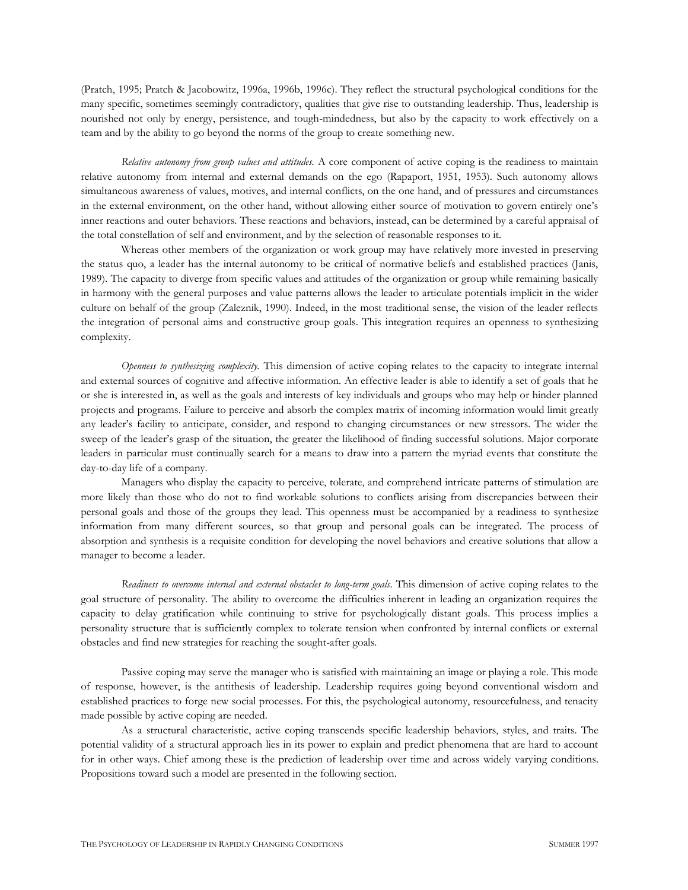(Pratch, 1995; Pratch & Jacobowitz, 1996a, 1996b, 1996c). They reflect the structural psychological conditions for the many specific, sometimes seemingly contradictory, qualities that give rise to outstanding leadership. Thus, leadership is nourished not only by energy, persistence, and tough-mindedness, but also by the capacity to work effectively on a team and by the ability to go beyond the norms of the group to create something new.

*Relative autonomy from group values and attitudes.* A core component of active coping is the readiness to maintain relative autonomy from internal and external demands on the ego (Rapaport, 1951, 1953). Such autonomy allows simultaneous awareness of values, motives, and internal conflicts, on the one hand, and of pressures and circumstances in the external environment, on the other hand, without allowing either source of motivation to govern entirely one's inner reactions and outer behaviors. These reactions and behaviors, instead, can be determined by a careful appraisal of the total constellation of self and environment, and by the selection of reasonable responses to it.

Whereas other members of the organization or work group may have relatively more invested in preserving the status quo, a leader has the internal autonomy to be critical of normative beliefs and established practices (Janis, 1989). The capacity to diverge from specific values and attitudes of the organization or group while remaining basically in harmony with the general purposes and value patterns allows the leader to articulate potentials implicit in the wider culture on behalf of the group (Zaleznik, 1990). Indeed, in the most traditional sense, the vision of the leader reflects the integration of personal aims and constructive group goals. This integration requires an openness to synthesizing complexity.

*Openness to synthesizing complexity.* This dimension of active coping relates to the capacity to integrate internal and external sources of cognitive and affective information. An effective leader is able to identify a set of goals that he or she is interested in, as well as the goals and interests of key individuals and groups who may help or hinder planned projects and programs. Failure to perceive and absorb the complex matrix of incoming information would limit greatly any leader's facility to anticipate, consider, and respond to changing circumstances or new stressors. The wider the sweep of the leader's grasp of the situation, the greater the likelihood of finding successful solutions. Major corporate leaders in particular must continually search for a means to draw into a pattern the myriad events that constitute the day-to-day life of a company.

Managers who display the capacity to perceive, tolerate, and comprehend intricate patterns of stimulation are more likely than those who do not to find workable solutions to conflicts arising from discrepancies between their personal goals and those of the groups they lead. This openness must be accompanied by a readiness to synthesize information from many different sources, so that group and personal goals can be integrated. The process of absorption and synthesis is a requisite condition for developing the novel behaviors and creative solutions that allow a manager to become a leader.

*Readiness to overcome internal and external obstacles to long-term goals*. This dimension of active coping relates to the goal structure of personality. The ability to overcome the difficulties inherent in leading an organization requires the capacity to delay gratification while continuing to strive for psychologically distant goals. This process implies a personality structure that is sufficiently complex to tolerate tension when confronted by internal conflicts or external obstacles and find new strategies for reaching the sought-after goals.

Passive coping may serve the manager who is satisfied with maintaining an image or playing a role. This mode of response, however, is the antithesis of leadership. Leadership requires going beyond conventional wisdom and established practices to forge new social processes. For this, the psychological autonomy, resourcefulness, and tenacity made possible by active coping are needed.

As a structural characteristic, active coping transcends specific leadership behaviors, styles, and traits. The potential validity of a structural approach lies in its power to explain and predict phenomena that are hard to account for in other ways. Chief among these is the prediction of leadership over time and across widely varying conditions. Propositions toward such a model are presented in the following section.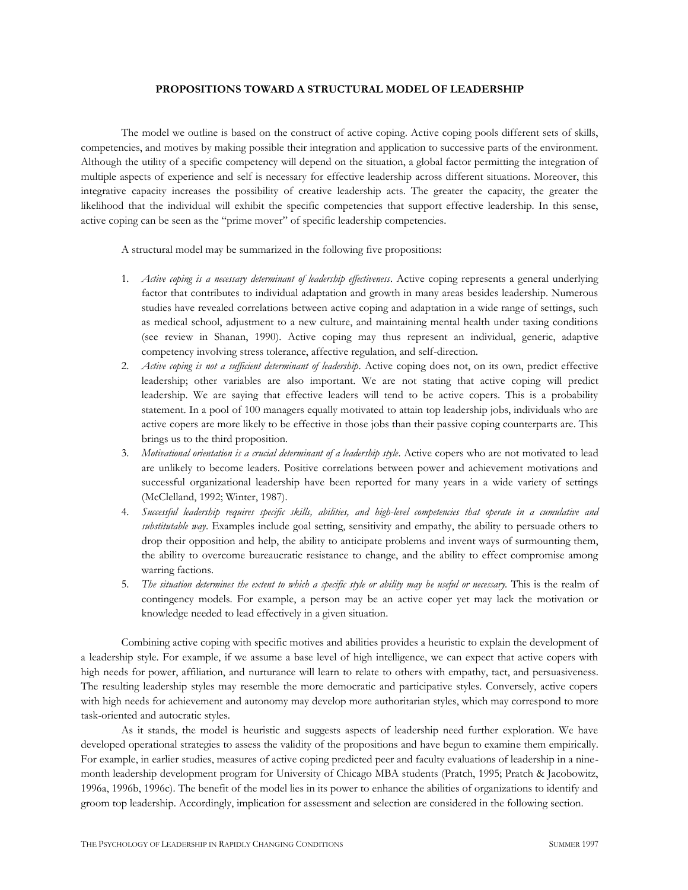# **PROPOSITIONS TOWARD A STRUCTURAL MODEL OF LEADERSHIP**

The model we outline is based on the construct of active coping. Active coping pools different sets of skills, competencies, and motives by making possible their integration and application to successive parts of the environment. Although the utility of a specific competency will depend on the situation, a global factor permitting the integration of multiple aspects of experience and self is necessary for effective leadership across different situations. Moreover, this integrative capacity increases the possibility of creative leadership acts. The greater the capacity, the greater the likelihood that the individual will exhibit the specific competencies that support effective leadership. In this sense, active coping can be seen as the "prime mover" of specific leadership competencies.

A structural model may be summarized in the following five propositions:

- 1. *Active coping is a necessary determinant of leadership effectiveness*. Active coping represents a general underlying factor that contributes to individual adaptation and growth in many areas besides leadership. Numerous studies have revealed correlations between active coping and adaptation in a wide range of settings, such as medical school, adjustment to a new culture, and maintaining mental health under taxing conditions (see review in Shanan, 1990). Active coping may thus represent an individual, generic, adaptive competency involving stress tolerance, affective regulation, and self-direction.
- 2. *Active coping is not a sufficient determinant of leadership*. Active coping does not, on its own, predict effective leadership; other variables are also important. We are not stating that active coping will predict leadership. We are saying that effective leaders will tend to be active copers. This is a probability statement. In a pool of 100 managers equally motivated to attain top leadership jobs, individuals who are active copers are more likely to be effective in those jobs than their passive coping counterparts are. This brings us to the third proposition.
- 3. *Motivational orientation is a crucial determinant of a leadership style*. Active copers who are not motivated to lead are unlikely to become leaders. Positive correlations between power and achievement motivations and successful organizational leadership have been reported for many years in a wide variety of settings (McClelland, 1992; Winter, 1987).
- 4. *Successful leadership requires specific skills, abilities, and high-level competencies that operate in a cumulative and substitutable way*. Examples include goal setting, sensitivity and empathy, the ability to persuade others to drop their opposition and help, the ability to anticipate problems and invent ways of surmounting them, the ability to overcome bureaucratic resistance to change, and the ability to effect compromise among warring factions.
- 5. *The situation determines the extent to which a specific style or ability may be useful or necessary.* This is the realm of contingency models. For example, a person may be an active coper yet may lack the motivation or knowledge needed to lead effectively in a given situation.

Combining active coping with specific motives and abilities provides a heuristic to explain the development of a leadership style. For example, if we assume a base level of high intelligence, we can expect that active copers with high needs for power, affiliation, and nurturance will learn to relate to others with empathy, tact, and persuasiveness. The resulting leadership styles may resemble the more democratic and participative styles. Conversely, active copers with high needs for achievement and autonomy may develop more authoritarian styles, which may correspond to more task-oriented and autocratic styles.

As it stands, the model is heuristic and suggests aspects of leadership need further exploration. We have developed operational strategies to assess the validity of the propositions and have begun to examine them empirically. For example, in earlier studies, measures of active coping predicted peer and faculty evaluations of leadership in a ninemonth leadership development program for University of Chicago MBA students (Pratch, 1995; Pratch & Jacobowitz, 1996a, 1996b, 1996c). The benefit of the model lies in its power to enhance the abilities of organizations to identify and groom top leadership. Accordingly, implication for assessment and selection are considered in the following section.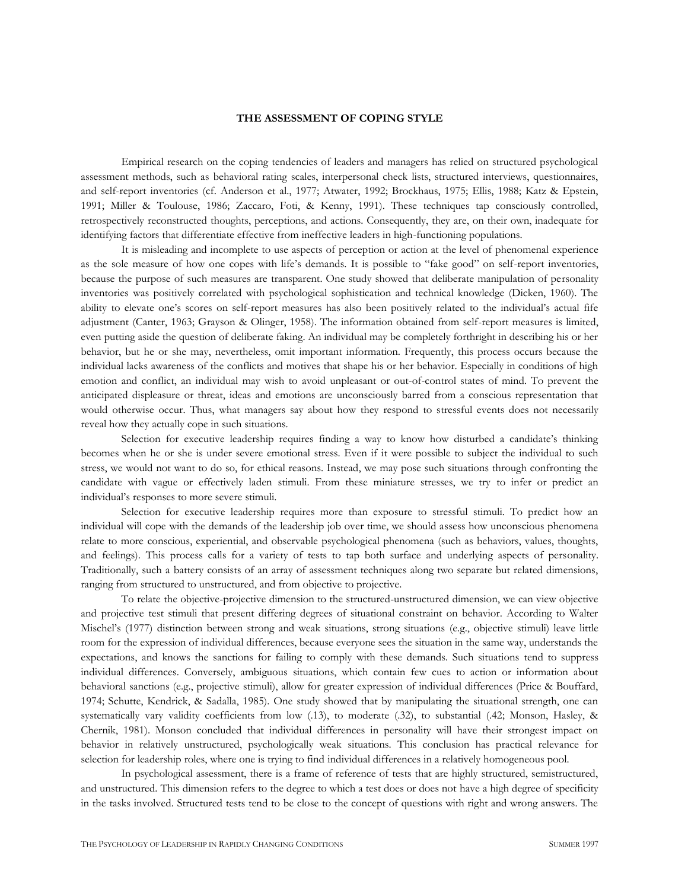#### **THE ASSESSMENT OF COPING STYLE**

Empirical research on the coping tendencies of leaders and managers has relied on structured psychological assessment methods, such as behavioral rating scales, interpersonal check lists, structured interviews, questionnaires, and self-report inventories (cf. Anderson et al., 1977; Atwater, 1992; Brockhaus, 1975; Ellis, 1988; Katz & Epstein, 1991; Miller & Toulouse, 1986; Zaccaro, Foti, & Kenny, 1991). These techniques tap consciously controlled, retrospectively reconstructed thoughts, perceptions, and actions. Consequently, they are, on their own, inadequate for identifying factors that differentiate effective from ineffective leaders in high-functioning populations.

It is misleading and incomplete to use aspects of perception or action at the level of phenomenal experience as the sole measure of how one copes with life's demands. It is possible to "fake good" on self-report inventories, because the purpose of such measures are transparent. One study showed that deliberate manipulation of personality inventories was positively correlated with psychological sophistication and technical knowledge (Dicken, 1960). The ability to elevate one's scores on self-report measures has also been positively related to the individual's actual fife adjustment (Canter, 1963; Grayson & Olinger, 1958). The information obtained from self-report measures is limited, even putting aside the question of deliberate faking. An individual may be completely forthright in describing his or her behavior, but he or she may, nevertheless, omit important information. Frequently, this process occurs because the individual lacks awareness of the conflicts and motives that shape his or her behavior. Especially in conditions of high emotion and conflict, an individual may wish to avoid unpleasant or out-of-control states of mind. To prevent the anticipated displeasure or threat, ideas and emotions are unconsciously barred from a conscious representation that would otherwise occur. Thus, what managers say about how they respond to stressful events does not necessarily reveal how they actually cope in such situations.

Selection for executive leadership requires finding a way to know how disturbed a candidate's thinking becomes when he or she is under severe emotional stress. Even if it were possible to subject the individual to such stress, we would not want to do so, for ethical reasons. Instead, we may pose such situations through confronting the candidate with vague or effectively laden stimuli. From these miniature stresses, we try to infer or predict an individual's responses to more severe stimuli.

Selection for executive leadership requires more than exposure to stressful stimuli. To predict how an individual will cope with the demands of the leadership job over time, we should assess how unconscious phenomena relate to more conscious, experiential, and observable psychological phenomena (such as behaviors, values, thoughts, and feelings). This process calls for a variety of tests to tap both surface and underlying aspects of personality. Traditionally, such a battery consists of an array of assessment techniques along two separate but related dimensions, ranging from structured to unstructured, and from objective to projective.

To relate the objective-projective dimension to the structured-unstructured dimension, we can view objective and projective test stimuli that present differing degrees of situational constraint on behavior. According to Walter Mischel's (1977) distinction between strong and weak situations, strong situations (e.g., objective stimuli) leave little room for the expression of individual differences, because everyone sees the situation in the same way, understands the expectations, and knows the sanctions for failing to comply with these demands. Such situations tend to suppress individual differences. Conversely, ambiguous situations, which contain few cues to action or information about behavioral sanctions (e.g., projective stimuli), allow for greater expression of individual differences (Price & Bouffard, 1974; Schutte, Kendrick, & Sadalla, 1985). One study showed that by manipulating the situational strength, one can systematically vary validity coefficients from low (.13), to moderate (.32), to substantial (.42; Monson, Hasley, & Chernik, 1981). Monson concluded that individual differences in personality will have their strongest impact on behavior in relatively unstructured, psychologically weak situations. This conclusion has practical relevance for selection for leadership roles, where one is trying to find individual differences in a relatively homogeneous pool.

In psychological assessment, there is a frame of reference of tests that are highly structured, semistructured, and unstructured. This dimension refers to the degree to which a test does or does not have a high degree of specificity in the tasks involved. Structured tests tend to be close to the concept of questions with right and wrong answers. The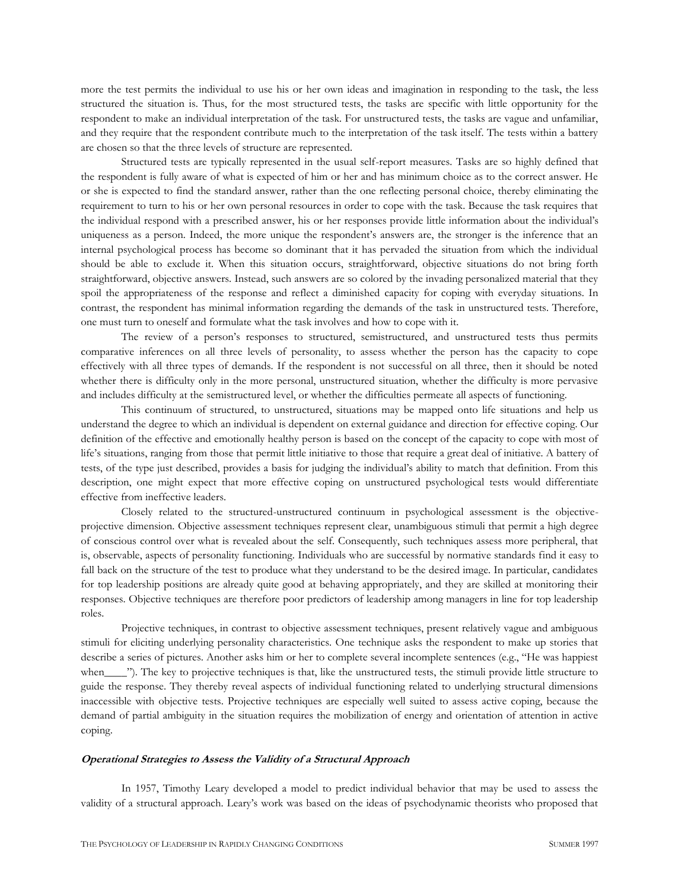more the test permits the individual to use his or her own ideas and imagination in responding to the task, the less structured the situation is. Thus, for the most structured tests, the tasks are specific with little opportunity for the respondent to make an individual interpretation of the task. For unstructured tests, the tasks are vague and unfamiliar, and they require that the respondent contribute much to the interpretation of the task itself. The tests within a battery are chosen so that the three levels of structure are represented.

Structured tests are typically represented in the usual self-report measures. Tasks are so highly defined that the respondent is fully aware of what is expected of him or her and has minimum choice as to the correct answer. He or she is expected to find the standard answer, rather than the one reflecting personal choice, thereby eliminating the requirement to turn to his or her own personal resources in order to cope with the task. Because the task requires that the individual respond with a prescribed answer, his or her responses provide little information about the individual's uniqueness as a person. Indeed, the more unique the respondent's answers are, the stronger is the inference that an internal psychological process has become so dominant that it has pervaded the situation from which the individual should be able to exclude it. When this situation occurs, straightforward, objective situations do not bring forth straightforward, objective answers. Instead, such answers are so colored by the invading personalized material that they spoil the appropriateness of the response and reflect a diminished capacity for coping with everyday situations. In contrast, the respondent has minimal information regarding the demands of the task in unstructured tests. Therefore, one must turn to oneself and formulate what the task involves and how to cope with it.

The review of a person's responses to structured, semistructured, and unstructured tests thus permits comparative inferences on all three levels of personality, to assess whether the person has the capacity to cope effectively with all three types of demands. If the respondent is not successful on all three, then it should be noted whether there is difficulty only in the more personal, unstructured situation, whether the difficulty is more pervasive and includes difficulty at the semistructured level, or whether the difficulties permeate all aspects of functioning.

This continuum of structured, to unstructured, situations may be mapped onto life situations and help us understand the degree to which an individual is dependent on external guidance and direction for effective coping. Our definition of the effective and emotionally healthy person is based on the concept of the capacity to cope with most of life's situations, ranging from those that permit little initiative to those that require a great deal of initiative. A battery of tests, of the type just described, provides a basis for judging the individual's ability to match that definition. From this description, one might expect that more effective coping on unstructured psychological tests would differentiate effective from ineffective leaders.

Closely related to the structured-unstructured continuum in psychological assessment is the objectiveprojective dimension. Objective assessment techniques represent clear, unambiguous stimuli that permit a high degree of conscious control over what is revealed about the self. Consequently, such techniques assess more peripheral, that is, observable, aspects of personality functioning. Individuals who are successful by normative standards find it easy to fall back on the structure of the test to produce what they understand to be the desired image. In particular, candidates for top leadership positions are already quite good at behaving appropriately, and they are skilled at monitoring their responses. Objective techniques are therefore poor predictors of leadership among managers in line for top leadership roles.

Projective techniques, in contrast to objective assessment techniques, present relatively vague and ambiguous stimuli for eliciting underlying personality characteristics. One technique asks the respondent to make up stories that describe a series of pictures. Another asks him or her to complete several incomplete sentences (e.g., "He was happiest when\_\_\_\_\_"). The key to projective techniques is that, like the unstructured tests, the stimuli provide little structure to guide the response. They thereby reveal aspects of individual functioning related to underlying structural dimensions inaccessible with objective tests. Projective techniques are especially well suited to assess active coping, because the demand of partial ambiguity in the situation requires the mobilization of energy and orientation of attention in active coping.

#### **Operational Strategies to Assess the Validity of a Structural Approach**

In 1957, Timothy Leary developed a model to predict individual behavior that may be used to assess the validity of a structural approach. Leary's work was based on the ideas of psychodynamic theorists who proposed that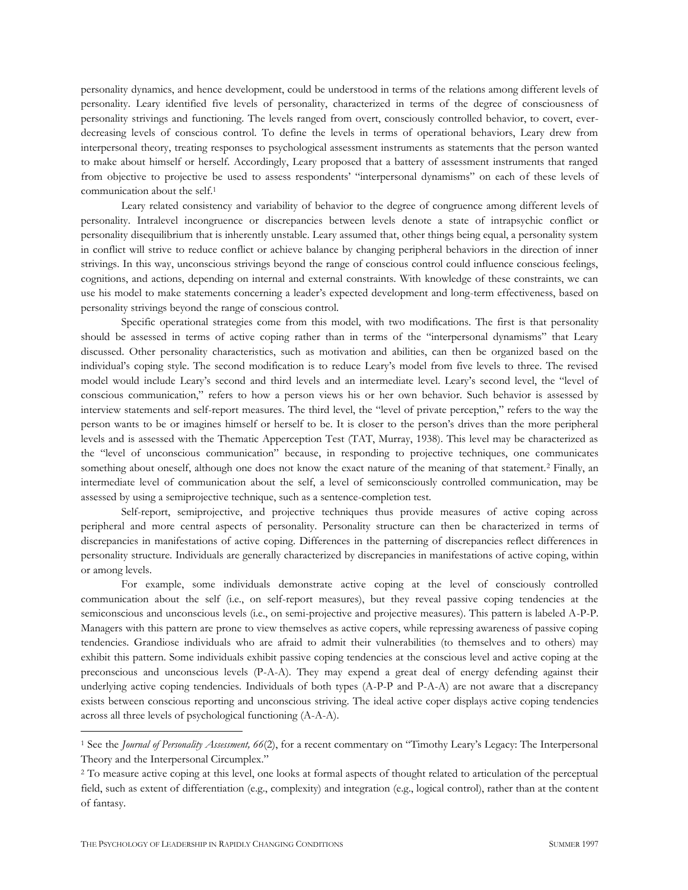personality dynamics, and hence development, could be understood in terms of the relations among different levels of personality. Leary identified five levels of personality, characterized in terms of the degree of consciousness of personality strivings and functioning. The levels ranged from overt, consciously controlled behavior, to covert, everdecreasing levels of conscious control. To define the levels in terms of operational behaviors, Leary drew from interpersonal theory, treating responses to psychological assessment instruments as statements that the person wanted to make about himself or herself. Accordingly, Leary proposed that a battery of assessment instruments that ranged from objective to projective be used to assess respondents' "interpersonal dynamisms" on each of these levels of communication about the self.<sup>1</sup>

Leary related consistency and variability of behavior to the degree of congruence among different levels of personality. Intralevel incongruence or discrepancies between levels denote a state of intrapsychic conflict or personality disequilibrium that is inherently unstable. Leary assumed that, other things being equal, a personality system in conflict will strive to reduce conflict or achieve balance by changing peripheral behaviors in the direction of inner strivings. In this way, unconscious strivings beyond the range of conscious control could influence conscious feelings, cognitions, and actions, depending on internal and external constraints. With knowledge of these constraints, we can use his model to make statements concerning a leader's expected development and long-term effectiveness, based on personality strivings beyond the range of conscious control.

Specific operational strategies come from this model, with two modifications. The first is that personality should be assessed in terms of active coping rather than in terms of the "interpersonal dynamisms" that Leary discussed. Other personality characteristics, such as motivation and abilities, can then be organized based on the individual's coping style. The second modification is to reduce Leary's model from five levels to three. The revised model would include Leary's second and third levels and an intermediate level. Leary's second level, the "level of conscious communication," refers to how a person views his or her own behavior. Such behavior is assessed by interview statements and self-report measures. The third level, the "level of private perception," refers to the way the person wants to be or imagines himself or herself to be. It is closer to the person's drives than the more peripheral levels and is assessed with the Thematic Apperception Test (TAT, Murray, 1938). This level may be characterized as the "level of unconscious communication" because, in responding to projective techniques, one communicates something about oneself, although one does not know the exact nature of the meaning of that statement.<sup>2</sup> Finally, an intermediate level of communication about the self, a level of semiconsciously controlled communication, may be assessed by using a semiprojective technique, such as a sentence-completion test.

Self-report, semiprojective, and projective techniques thus provide measures of active coping across peripheral and more central aspects of personality. Personality structure can then be characterized in terms of discrepancies in manifestations of active coping. Differences in the patterning of discrepancies reflect differences in personality structure. Individuals are generally characterized by discrepancies in manifestations of active coping, within or among levels.

For example, some individuals demonstrate active coping at the level of consciously controlled communication about the self (i.e., on self-report measures), but they reveal passive coping tendencies at the semiconscious and unconscious levels (i.e., on semi-projective and projective measures). This pattern is labeled A-P-P. Managers with this pattern are prone to view themselves as active copers, while repressing awareness of passive coping tendencies. Grandiose individuals who are afraid to admit their vulnerabilities (to themselves and to others) may exhibit this pattern. Some individuals exhibit passive coping tendencies at the conscious level and active coping at the preconscious and unconscious levels (P-A-A). They may expend a great deal of energy defending against their underlying active coping tendencies. Individuals of both types (A-P-P and P-A-A) are not aware that a discrepancy exists between conscious reporting and unconscious striving. The ideal active coper displays active coping tendencies across all three levels of psychological functioning (A-A-A).

 $\overline{a}$ 

<sup>1</sup> See the *Journal of Personality Assessment, 66*(2), for a recent commentary on "Timothy Leary's Legacy: The Interpersonal Theory and the Interpersonal Circumplex."

<sup>&</sup>lt;sup>2</sup> To measure active coping at this level, one looks at formal aspects of thought related to articulation of the perceptual field, such as extent of differentiation (e.g., complexity) and integration (e.g., logical control), rather than at the content of fantasy.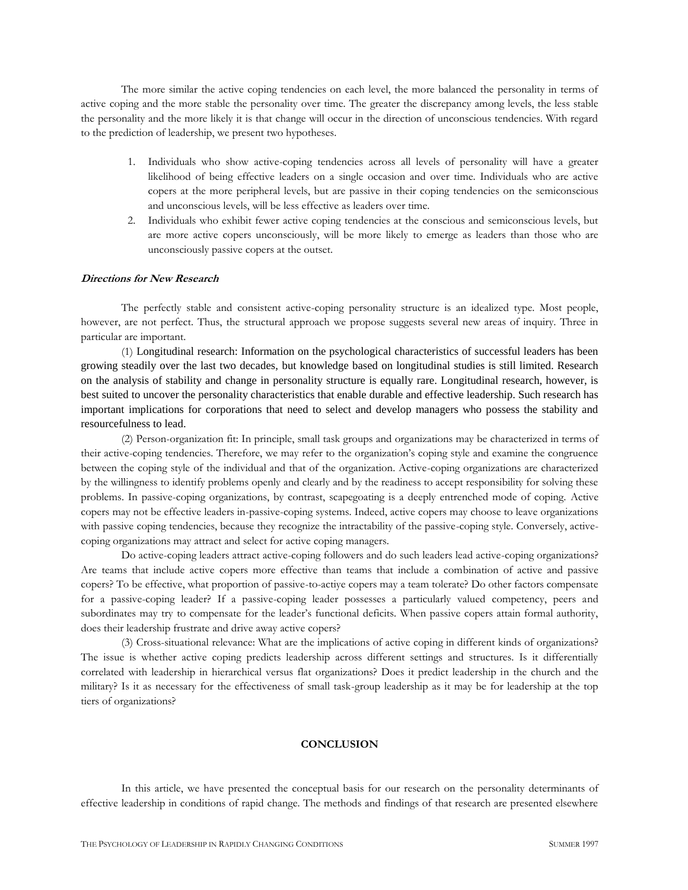The more similar the active coping tendencies on each level, the more balanced the personality in terms of active coping and the more stable the personality over time. The greater the discrepancy among levels, the less stable the personality and the more likely it is that change will occur in the direction of unconscious tendencies. With regard to the prediction of leadership, we present two hypotheses.

- 1. Individuals who show active-coping tendencies across all levels of personality will have a greater likelihood of being effective leaders on a single occasion and over time. Individuals who are active copers at the more peripheral levels, but are passive in their coping tendencies on the semiconscious and unconscious levels, will be less effective as leaders over time.
- 2. Individuals who exhibit fewer active coping tendencies at the conscious and semiconscious levels, but are more active copers unconsciously, will be more likely to emerge as leaders than those who are unconsciously passive copers at the outset.

# **Directions for New Research**

The perfectly stable and consistent active-coping personality structure is an idealized type. Most people, however, are not perfect. Thus, the structural approach we propose suggests several new areas of inquiry. Three in particular are important.

(1) Longitudinal research: Information on the psychological characteristics of successful leaders has been growing steadily over the last two decades, but knowledge based on longitudinal studies is still limited. Research on the analysis of stability and change in personality structure is equally rare. Longitudinal research, however, is best suited to uncover the personality characteristics that enable durable and effective leadership. Such research has important implications for corporations that need to select and develop managers who possess the stability and resourcefulness to lead.

(2) Person-organization fit: In principle, small task groups and organizations may be characterized in terms of their active-coping tendencies. Therefore, we may refer to the organization's coping style and examine the congruence between the coping style of the individual and that of the organization. Active-coping organizations are characterized by the willingness to identify problems openly and clearly and by the readiness to accept responsibility for solving these problems. In passive-coping organizations, by contrast, scapegoating is a deeply entrenched mode of coping. Active copers may not be effective leaders in-passive-coping systems. Indeed, active copers may choose to leave organizations with passive coping tendencies, because they recognize the intractability of the passive-coping style. Conversely, activecoping organizations may attract and select for active coping managers.

Do active-coping leaders attract active-coping followers and do such leaders lead active-coping organizations? Are teams that include active copers more effective than teams that include a combination of active and passive copers? To be effective, what proportion of passive-to-actiye copers may a team tolerate? Do other factors compensate for a passive-coping leader? If a passive-coping leader possesses a particularly valued competency, peers and subordinates may try to compensate for the leader's functional deficits. When passive copers attain formal authority, does their leadership frustrate and drive away active copers?

(3) Cross-situational relevance: What are the implications of active coping in different kinds of organizations? The issue is whether active coping predicts leadership across different settings and structures. Is it differentially correlated with leadership in hierarchical versus flat organizations? Does it predict leadership in the church and the military? Is it as necessary for the effectiveness of small task-group leadership as it may be for leadership at the top tiers of organizations?

#### **CONCLUSION**

In this article, we have presented the conceptual basis for our research on the personality determinants of effective leadership in conditions of rapid change. The methods and findings of that research are presented elsewhere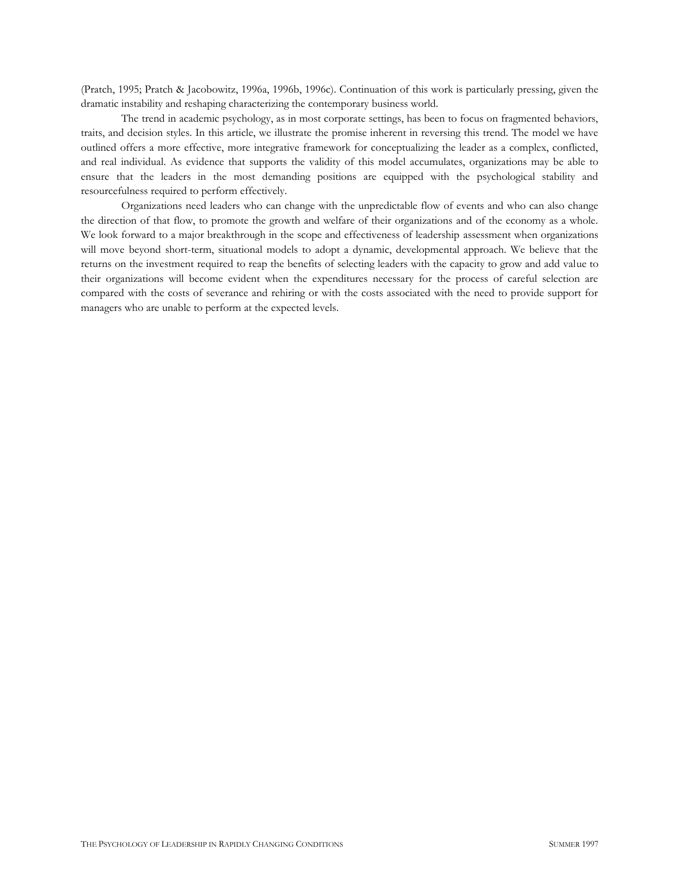(Pratch, 1995; Pratch & Jacobowitz, 1996a, 1996b, 1996c). Continuation of this work is particularly pressing, given the dramatic instability and reshaping characterizing the contemporary business world.

The trend in academic psychology, as in most corporate settings, has been to focus on fragmented behaviors, traits, and decision styles. In this article, we illustrate the promise inherent in reversing this trend. The model we have outlined offers a more effective, more integrative framework for conceptualizing the leader as a complex, conflicted, and real individual. As evidence that supports the validity of this model accumulates, organizations may be able to ensure that the leaders in the most demanding positions are equipped with the psychological stability and resourcefulness required to perform effectively.

Organizations need leaders who can change with the unpredictable flow of events and who can also change the direction of that flow, to promote the growth and welfare of their organizations and of the economy as a whole. We look forward to a major breakthrough in the scope and effectiveness of leadership assessment when organizations will move beyond short-term, situational models to adopt a dynamic, developmental approach. We believe that the returns on the investment required to reap the benefits of selecting leaders with the capacity to grow and add value to their organizations will become evident when the expenditures necessary for the process of careful selection are compared with the costs of severance and rehiring or with the costs associated with the need to provide support for managers who are unable to perform at the expected levels.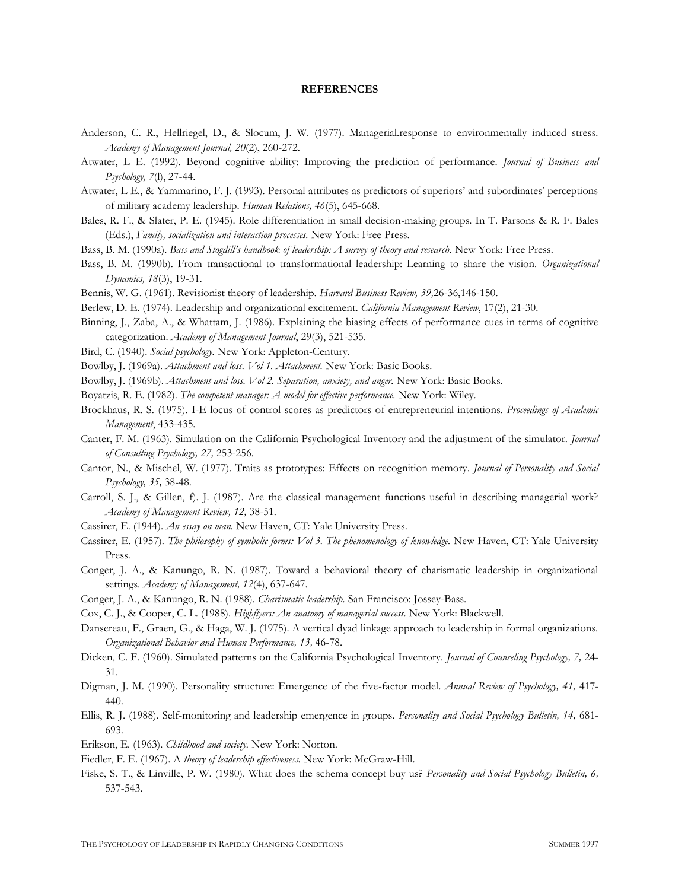#### **REFERENCES**

- Anderson, C. R., Hellriegel, D., & Slocum, J. W. (1977). Managerial.response to environmentally induced stress. *Academy of Management Journal, 20*(2), 260-272.
- Atwater, L E. (1992). Beyond cognitive ability: Improving the prediction of performance. *Journal of Business and Psychology, 7*(l), 27-44.
- Atwater, L E., & Yammarino, F. J. (1993). Personal attributes as predictors of superiors' and subordinates' perceptions of military academy leadership. *Human Relations, 46*(5), 645-668.
- Bales, R. F., & Slater, P. E. (1945). Role differentiation in small decision-making groups. In T. Parsons & R. F. Bales (Eds.), *Family, socialization and interaction processes.* New York: Free Press.
- Bass, B. M. (1990a). *Bass and Stogdill's handbook of leadership: A survey of theory and research.* New York: Free Press.
- Bass, B. M. (1990b). From transactional to transformational leadership: Learning to share the vision. *Organizational Dynamics, 18*(3), 19-31.
- Bennis, W. G. (1961). Revisionist theory of leadership. *Harvard Business Review, 39,*26-36,146-150.
- Berlew, D. E. (1974). Leadership and organizational excitement. *California Management Review*, 17(2), 21-30.
- Binning, J., Zaba, A., & Whattam, J. (1986). Explaining the biasing effects of performance cues in terms of cognitive categorization. *Academy of Management Journal*, 29(3), 521-535.
- Bird, C. (1940). *Social psychology.* New York: Appleton-Century.
- Bowlby, J. (1969a). *Attachment and loss. Vol 1. Attachment.* New York: Basic Books.
- Bowlby, J. (1969b). *Attachment and loss. Vol 2. Separation, anxiety, and anger.* New York: Basic Books.
- Boyatzis, R. E. (1982). *The competent manager: A model for effective performance.* New York: Wiley.
- Brockhaus, R. S. (1975). I-E locus of control scores as predictors of entrepreneurial intentions. *Proceedings of Academic Management*, 433-435*.*
- Canter, F. M. (1963). Simulation on the California Psychological Inventory and the adjustment of the simulator. *Journal of Consulting Psychology, 27,* 253-256.
- Cantor, N., & Mischel, W. (1977). Traits as prototypes: Effects on recognition memory. *Journal of Personality and Social Psychology, 35,* 38-48.
- Carroll, S. J., & Gillen, f). J. (1987). Are the classical management functions useful in describing managerial work? *Academy of Management Review, 12,* 38-51.
- Cassirer, E. (1944). *An essay on man.* New Haven, CT: Yale University Press.
- Cassirer, E. (1957). *The philosophy of symbolic forms: Vol 3. The phenomenology of knowledge.* New Haven, CT: Yale University Press.
- Conger, J. A., & Kanungo, R. N. (1987). Toward a behavioral theory of charismatic leadership in organizational settings. *Academy of Management, 12*(4), 637-647.
- Conger, J. A., & Kanungo, R. N. (1988). *Charismatic leadership.* San Francisco: Jossey-Bass.
- Cox, C. J., & Cooper, C. L. (1988). *Highflyers: An anatomy of managerial success.* New York: Blackwell.
- Dansereau, F., Graen, G., & Haga, W. J. (1975). A vertical dyad linkage approach to leadership in formal organizations. *Organizational Behavior and Human Performance, 13,* 46-78.
- Dicken, C. F. (1960). Simulated patterns on the California Psychological Inventory. *Journal of Counseling Psychology, 7,* 24- 31.
- Digman, J. M. (1990). Personality structure: Emergence of the five-factor model. *Annual Review of Psychology, 41,* 417- 440.
- Ellis, R. J. (1988). Self-monitoring and leadership emergence in groups. *Personality and Social Psychology Bulletin, 14,* 681- 693.
- Erikson, E. (1963). *Childhood and society.* New York: Norton.
- Fiedler, F. E. (1967). A *theory of leadership effectiveness.* New York: McGraw-Hill.
- Fiske, S. T., & Linville, P. W. (1980). What does the schema concept buy us? *Personality and Social Psychology Bulletin, 6,*  537-543.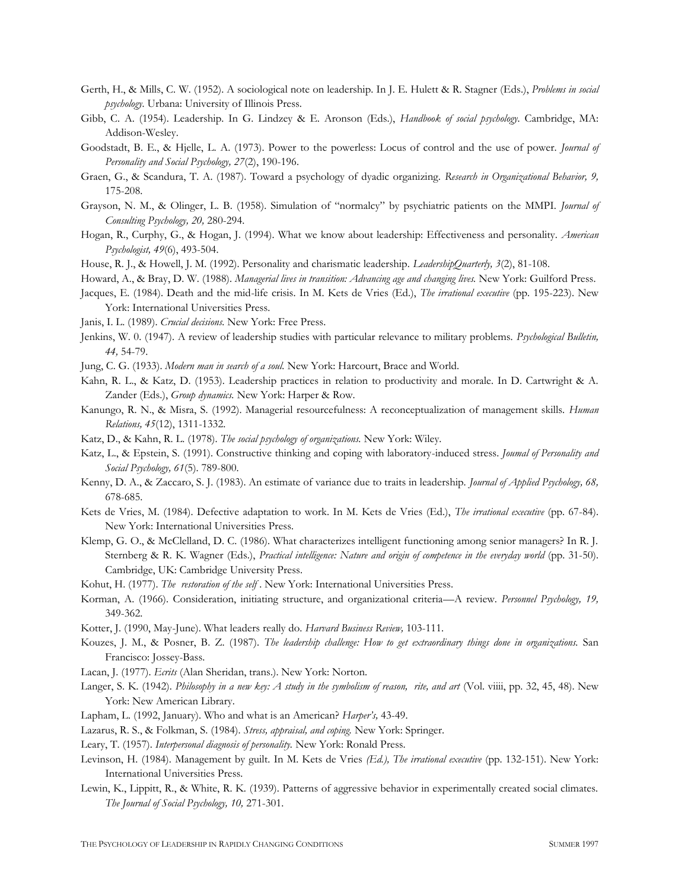- Gerth, H., & Mills, C. W. (1952). A sociological note on leadership. In J. E. Hulett & R. Stagner (Eds.), *Problems in social psychology.* Urbana: University of Illinois Press.
- Gibb, C. A. (1954). Leadership. In G. Lindzey & E. Aronson (Eds.), *Handbook of social psychology.* Cambridge, MA: Addison-Wesley.
- Goodstadt, B. E., & Hjelle, L. A. (1973). Power to the powerless: Locus of control and the use of power. *Journal of Personality and Social Psychology, 27*(2), 190-196.
- Graen, G., & Scandura, T. A. (1987). Toward a psychology of dyadic organizing. *Research in Organizational Behavior, 9,*  175-208.
- Grayson, N. M., & Olinger, L. B. (1958). Simulation of "normalcy" by psychiatric patients on the MMPI. *Journal of Consulting Psychology, 20,* 280-294.
- Hogan, R., Curphy, G., & Hogan, J. (1994). What we know about leadership: Effectiveness and personality. *American Psychologist, 49*(6), 493-504.
- House, R. J., & Howell, J. M. (1992). Personality and charismatic leadership. *LeadershipQuarterly, 3*(2), 81-108.
- Howard, A., & Bray, D. W. (1988). *Managerial lives in transition: Advancing age and changing lives.* New York: Guilford Press.
- Jacques, E. (1984). Death and the mid-life crisis. In M. Kets de Vries (Ed.), *The irrational executive* (pp. 195-223). New York: International Universities Press.
- Janis, I. L. (1989). *Crucial decisions.* New York: Free Press.
- Jenkins, W. 0. (1947). A review of leadership studies with particular relevance to military problems. *Psychological Bulletin, 44,* 54-79.
- Jung, C. G. (1933). *Modern man in search of a soul.* New York: Harcourt, Brace and World.
- Kahn, R. L., & Katz, D. (1953). Leadership practices in relation to productivity and morale. In D. Cartwright & A. Zander (Eds.), *Group dynamics.* New York: Harper & Row.
- Kanungo, R. N., & Misra, S. (1992). Managerial resourcefulness: A reconceptualization of management skills. *Human Relations, 45*(12), 1311-1332.
- Katz, D., & Kahn, R. L. (1978). *The social psychology of organizations.* New York: Wiley.
- Katz, L., & Epstein, S. (1991). Constructive thinking and coping with laboratory-induced stress. *Joumal of Personality and Social Psychology, 61*(5). 789-800.
- Kenny, D. A., & Zaccaro, S. J. (1983). An estimate of variance due to traits in leadership. *Journal of Applied Psychology, 68,*  678-685.
- Kets de Vries, M. (1984). Defective adaptation to work. In M. Kets de Vries (Ed.), *The irrational executive* (pp. 67-84). New York: International Universities Press.
- Klemp, G. O., & McClelland, D. C. (1986). What characterizes intelligent functioning among senior managers? In R. J. Sternberg & R. K. Wagner (Eds.), *Practical intelligence: Nature and origin of competence in the everyday world* (pp. 31-50). Cambridge, UK: Cambridge University Press.
- Kohut, H. (1977). *The restoration of the self* . New York: International Universities Press.
- Korman, A. (1966). Consideration, initiating structure, and organizational criteria—A review. *Personnel Psychology, 19,*  349-362.
- Kotter, J. (1990, May-June). What leaders really do. *Harvard Business Review,* 103-111.
- Kouzes, J. M., & Posner, B. Z. (1987). *The leadership challenge: How to get extraordinary things done in organizations.* San Francisco: Jossey-Bass.
- Lacan, J. (1977). *Ecrits* (Alan Sheridan, trans.). New York: Norton.
- Langer, S. K. (1942). *Philosophy in a new key: A study in the symbolism of reason, rite, and art* (Vol. viiii, pp. 32, 45, 48). New York: New American Library.
- Lapham, L. (1992, January). Who and what is an American? *Harper's,* 43-49.
- Lazarus, R. S., & Folkman, S. (1984). *Stress, appraisal, and coping.* New York: Springer.
- Leary, T. (1957). *Interpersonal diagnosis of personality.* New York: Ronald Press.
- Levinson, H. (1984). Management by guilt. In M. Kets de Vries *(Ed.), The irrational executive* (pp. 132-151). New York: International Universities Press.
- Lewin, K., Lippitt, R., & White, R. K. (1939). Patterns of aggressive behavior in experimentally created social climates. *The Journal of Social Psychology, 10,* 271-301.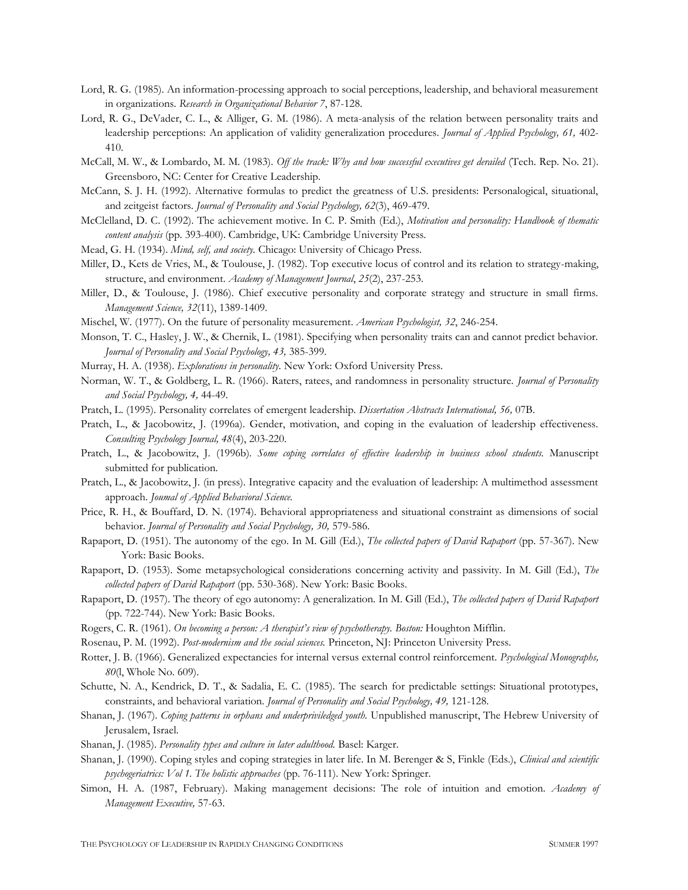- Lord, R. G. (1985). An information-processing approach to social perceptions, leadership, and behavioral measurement in organizations. *Research in Organizational Behavior 7*, 87-128.
- Lord, R. G., DeVader, C. L., & Alliger, G. M. (1986). A meta-analysis of the relation between personality traits and leadership perceptions: An application of validity generalization procedures. *Journal of Applied Psychology, 61,* 402- 410.
- McCall, M. W., & Lombardo, M. M. (1983). *Off the track: Why and how successful executives get derailed* (Tech. Rep. No. 21). Greensboro, NC: Center for Creative Leadership.
- McCann, S. J. H. (1992). Alternative formulas to predict the greatness of U.S. presidents: Personalogical, situational, and zeitgeist factors. *Journal of Personality and Social Psychology, 62*(3), 469-479.
- McClelland, D. C. (1992). The achievement motive. In C. P. Smith (Ed.), *Motivation and personality: Handbook of thematic content analysis* (pp. 393-400). Cambridge, UK: Cambridge University Press.
- Mead, G. H. (1934). *Mind, self, and society.* Chicago: University of Chicago Press.
- Miller, D., Kets de Vries, M., & Toulouse, J. (1982). Top executive locus of control and its relation to strategy-making, structure, and environment. *Academy of Management Journal*, *25*(2), 237-253.
- Miller, D., & Toulouse, J. (1986). Chief executive personality and corporate strategy and structure in small firms. *Management Science, 32*(11), 1389-1409.
- Mischel, W. (1977). On the future of personality measurement. *American Psychologist, 32*, 246-254.
- Monson, T. C., Hasley, J. W., & Chernik, L. (1981). Specifying when personality traits can and cannot predict behavior. *Journal of Personality and Social Psychology, 43,* 385-399.
- Murray, H. A. (1938). *Explorations in personality.* New York: Oxford University Press.
- Norman, W. T., & Goldberg, L. R. (1966). Raters, ratees, and randomness in personality structure. *Journal of Personality and Social Psychology, 4,* 44-49.
- Pratch, L. (1995). Personality correlates of emergent leadership. *Dissertation Abstracts International, 56,* 07B.
- Pratch, L., & Jacobowitz, J. (1996a). Gender, motivation, and coping in the evaluation of leadership effectiveness. *Consulting Psychology Journal, 48*(4), 203-220.
- Pratch, L., & Jacobowitz, J. (1996b). *Some coping correlates of effective leadership in business school students.* Manuscript submitted for publication.
- Pratch, L., & Jacobowitz, J. (in press). Integrative capacity and the evaluation of leadership: A multimethod assessment approach. *Joumal of Applied Behavioral Science.*
- Price, R. H., & Bouffard, D. N. (1974). Behavioral appropriateness and situational constraint as dimensions of social behavior. *Journal of Personality and Social Psychology, 30,* 579-586.
- Rapaport, D. (1951). The autonomy of the ego. In M. Gill (Ed.), *The collected papers of David Rapaport* (pp. 57-367). New York: Basic Books.
- Rapaport, D. (1953). Some metapsychological considerations concerning activity and passivity. In M. Gill (Ed.), *The collected papers of David Rapaport* (pp. 530-368). New York: Basic Books.
- Rapaport, D. (1957). The theory of ego autonomy: A generalization. In M. Gill (Ed.), *The collected papers of David Rapaport*  (pp. 722-744). New York: Basic Books.
- Rogers, C. R. (1961). *On becoming a person: A therapist's view of psychotherapy. Boston:* Houghton Mifflin.
- Rosenau, P. M. (1992). *Post-modernism and the social sciences.* Princeton, NJ: Princeton University Press.
- Rotter, J. B. (1966). Generalized expectancies for internal versus external control reinforcement. *Psychological Monographs, 80*(l, Whole No. 609).
- Schutte, N. A., Kendrick, D. T., & Sadalia, E. C. (1985). The search for predictable settings: Situational prototypes, constraints, and behavioral variation. *Journal of Personality and Social Psychology, 49,* 121-128.
- Shanan, J. (1967). *Coping patterns in orphans and underpriviledged youth.* Unpublished manuscript, The Hebrew University of Jerusalem, Israel.
- Shanan, J. (1985). *Personality types and culture in later adulthood.* Basel: Karger.
- Shanan, J. (1990). Coping styles and coping strategies in later life. In M. Berenger & S, Finkle (Eds.), *Clinical and scientific psychogeriatrics: Vol 1. The holistic approaches* (pp. 76-111). New York: Springer.
- Simon, H. A. (1987, February). Making management decisions: The role of intuition and emotion. *Academy of Management Executive,* 57-63.